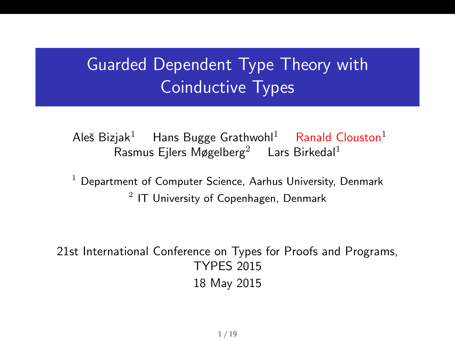## Guarded Dependent Type Theory with Coinductive Types

Aleš Bizjak<sup>1</sup> Hans Bugge Grathwohl<sup>1</sup> Ranald Clouston<sup>1</sup> Rasmus Ejlers Møgelberg<sup>2</sup> Lars Birkedal<sup>1</sup>

<sup>1</sup> Department of Computer Science, Aarhus University, Denmark  $^2$  IT University of Copenhagen, Denmark

21st International Conference on Types for Proofs and Programs, TYPES 2015 18 May 2015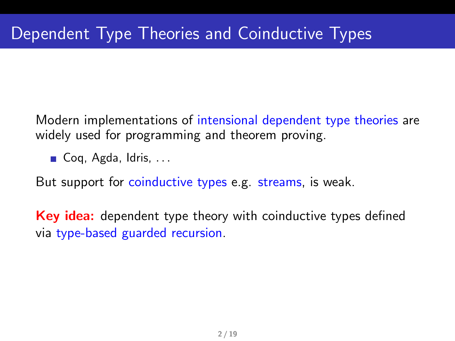Modern implementations of intensional dependent type theories are widely used for programming and theorem proving.

Coq, Agda, Idris,  $\dots$ 

But support for coinductive types e.g. streams, is weak.

**Key idea:** dependent type theory with coinductive types defined via type-based guarded recursion.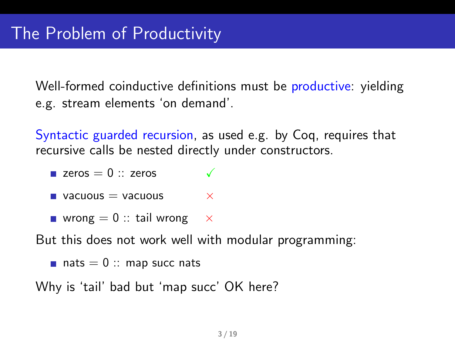Well-formed coinductive definitions must be productive: yielding e.g. stream elements 'on demand'.

Syntactic guarded recursion, as used e.g. by Coq, requires that recursive calls be nested directly under constructors.

- **zeros**  $= 0$  :: zeros **vacuous = vacuous**  $\times$
- wrong  $= 0$  :: tail wrong  $\times$

But this does not work well with modular programming:

```
\blacksquare nats = 0 :: map succ nats
```
Why is 'tail' bad but 'map succ' OK here?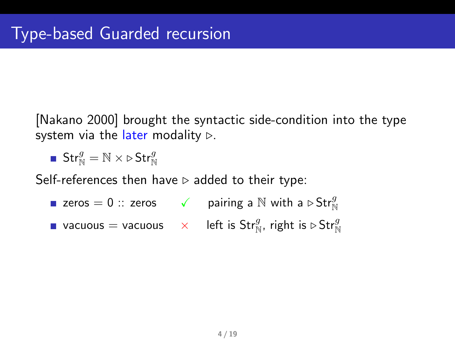[Nakano 2000] brought the syntactic side-condition into the type system via the later modality  $\triangleright$ .

$$
\blacksquare\ \mathsf{Str}^g_{\mathbb{N}} = \mathbb{N} \times \triangleright \mathsf{Str}^g_{\mathbb{N}}
$$

Self-references then have  $\triangleright$  added to their type:

- zeros  $= 0 ::$  zeros  $\checkmark$  pairing a  $\mathbb N$  with a  $\triangleright$   $\text{Str}^g_{\mathbb N}$
- vacuous  $=$  vacuous  $\quad \times \quad$  left is Str $^g_{\mathbb N}$ , right is  $\triangleright$  Str $^g_{\mathbb N}$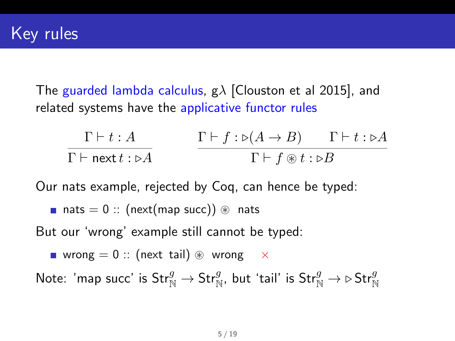The guarded lambda calculus,  $g\lambda$  [Clouston et al 2015], and related systems have the applicative functor rules

$$
\frac{\Gamma \vdash t : A}{\Gamma \vdash \mathsf{next} t : \triangleright A} \qquad \frac{\Gamma \vdash f : \triangleright (A \to B) \qquad \Gamma \vdash t : \triangleright A}{\Gamma \vdash f \circledast t : \triangleright B}
$$

Our nats example, rejected by Coq, can hence be typed:

$$
\blacksquare \ \mathsf{nats} = 0 :: (\mathsf{next}(\mathsf{map}\ \mathsf{succ})) \circledast \ \mathsf{nats}
$$

But our 'wrong' example still cannot be typed:

**u** wrong  $= 0$  :: (next tail)  $\circledast$  wrong  $\times$ 

Note: 'map succ' is  $\mathsf{Str}^g_{\mathbb{N}} \to \mathsf{Str}^g_{\mathbb{N}}$ , but 'tail' is  $\mathsf{Str}^g_{\mathbb{N}} \to \triangleright \mathsf{Str}^g_{\mathbb{N}}$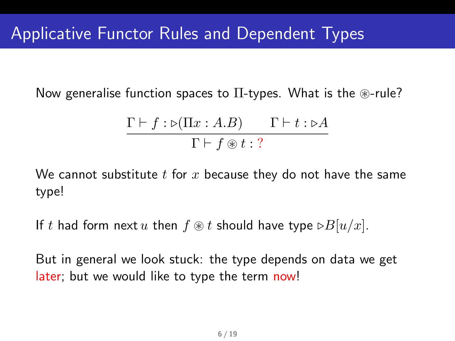Now generalise function spaces to  $\Pi$ -types. What is the  $\circledast$ -rule?

$$
\frac{\Gamma \vdash f : \triangleright (\Pi x : A.B)}{\Gamma \vdash f \circledast t : ?}
$$

We cannot substitute  $t$  for  $x$  because they do not have the same type!

If t had form next u then  $f \otimes t$  should have type  $\triangleright B[u/x]$ .

But in general we look stuck: the type depends on data we get later; but we would like to type the term now!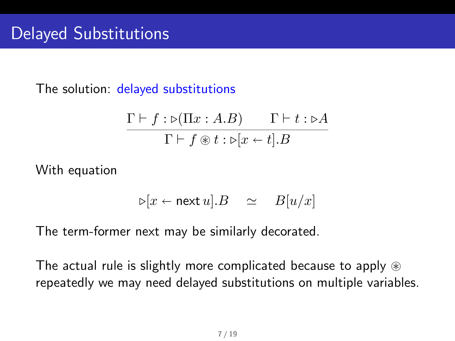The solution: delayed substitutions

$$
\frac{\Gamma \vdash f : \triangleright (\Pi x : A.B)}{\Gamma \vdash f \circledast t : \triangleright [x \leftarrow t].B}
$$

With equation

$$
\triangleright [x \leftarrow \text{next } u].B \quad \simeq \quad B[u/x]
$$

The term-former next may be similarly decorated.

The actual rule is slightly more complicated because to apply  $\circledast$ repeatedly we may need delayed substitutions on multiple variables.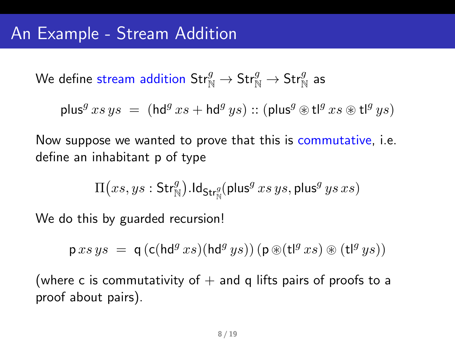We define stream addition  $\mathsf{Str}^g_{\mathbb{N}} \to \mathsf{Str}^g_{\mathbb{N}} \to \mathsf{Str}^g_{\mathbb{N}}$  as

$$
\mathsf{plus}^g \, xs \, ys \; = \; (\mathsf{hd}^g \, xs + \mathsf{hd}^g \, ys) :: (\mathsf{plus}^g \circledast \mathsf{t} \mathsf{I}^g \, xs \circledast \mathsf{t} \mathsf{I}^g \, ys)
$$

Now suppose we wanted to prove that this is commutative, i.e. define an inhabitant p of type

$$
\Pi\big(xs,ys:\mathsf{Str}^g_{\mathbb{N}}\big).\mathsf{Id}_{\mathsf{Str}^g_{\mathbb{N}}}(\mathsf{plus}^g\, xs\, ys, \mathsf{plus}^g\, ys\, xs)
$$

We do this by guarded recursion!

$$
p \, xs \, ys \ = \ q \left( c (hd^{g} \, xs) (hd^{g} \, ys) \right) (p \circledast (t^{g} \, xs) \circledast (t^{g} \, ys))
$$

(where c is commutativity of  $+$  and q lifts pairs of proofs to a proof about pairs).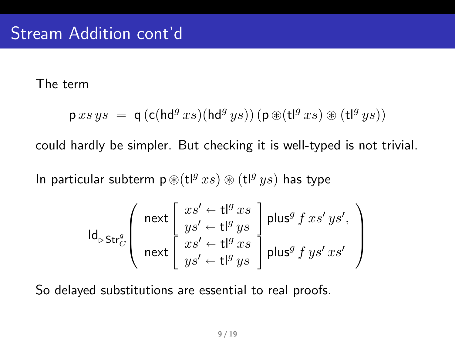The term

$$
\mathsf{p} \, \mathit{xs} \, \mathit{ys} \ = \ \mathsf{q} \, ( \mathsf{c} (\mathsf{hd}^g \, \mathit{xs}) (\mathsf{hd}^g \, \mathit{ys})) \, ( \mathsf{p} \, \circledast (\mathsf{t} \mathsf{l}^g \, \mathit{xs}) \, \circledast \, (\mathsf{t} \mathsf{l}^g \, \mathit{ys}))
$$

could hardly be simpler. But checking it is well-typed is not trivial.

In particular subterm  $p \circledast$ (tl $g \circledast xs) \circledast$  (tl $g \circledast ys$ ) has type

$$
\operatorname{Id}^{\mathcal{L}}_{\triangleright\textsf{Str}^{\mathcal{G}}_{C}}\left(\begin{array}{c} \text{next}\left[\begin{array}{c} xs' \leftarrow \mathsf{t} |^{g} xs \\ ys' \leftarrow \mathsf{t} |^{g} ys \\ xs' \leftarrow \mathsf{t} |^{g} ys \\ ys' \leftarrow \mathsf{t} |^{g} xs \end{array}\right] \text{plus}^{g} f xs' ys' \\ \text{next}\left[\begin{array}{c} xs' \leftarrow \mathsf{t} |^{g} xs \\ ys' \leftarrow \mathsf{t} |^{g} ys \end{array}\right] \text{plus}^{g} f ys' xs' \end{array}\right]\right)
$$

So delayed substitutions are essential to real proofs.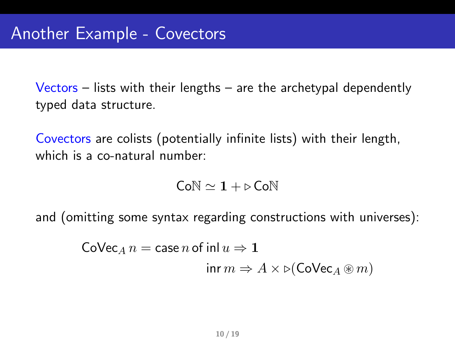Vectors – lists with their lengths – are the archetypal dependently typed data structure.

Covectors are colists (potentially infinite lists) with their length, which is a co-natural number:

$$
\mathsf{Co}\mathbb{N} \simeq 1+\triangleright \mathsf{Co}\mathbb{N}
$$

and (omitting some syntax regarding constructions with universes):

$$
\begin{aligned} \text{Colvec}_A \, n = \text{case} \, n \, \text{of inl } u &\Rightarrow 1 \\ \text{inr } m &\Rightarrow A \times \triangleright (\text{Colvec}_A \circledast m) \end{aligned}
$$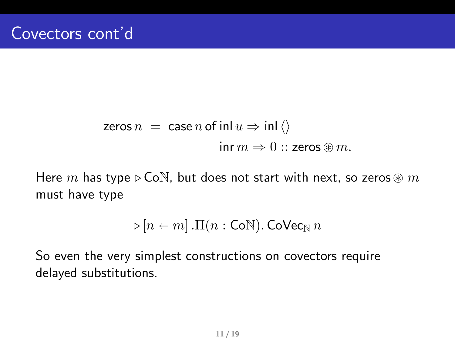$$
\begin{aligned}\n\mathsf{zeros}\,n &= \mathsf{case}\,n\,\mathsf{of}\,\mathsf{inl}\,u \Rightarrow \mathsf{inl}\,\langle\rangle \\
&\quad \mathsf{inr}\,m \Rightarrow 0::\mathsf{zeros}\circledast m.\n\end{aligned}
$$

Here m has type  $\triangleright$  CoN, but does not start with next, so zeros  $\circledast$  m must have type

$$
\triangleright [n \leftarrow m] \cdot \Pi(n : \mathsf{CoN}). \mathsf{CoVec}_{\mathbb{N}} n
$$

So even the very simplest constructions on covectors require delayed substitutions.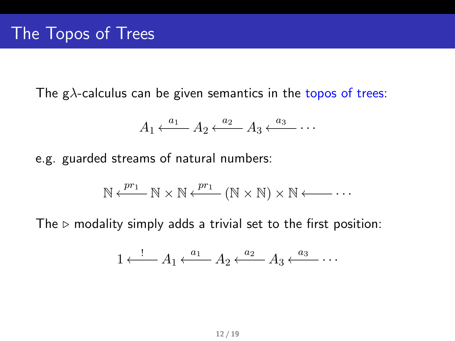The g $\lambda$ -calculus can be given semantics in the topos of trees:

$$
A_1 \xleftarrow{a_1} A_2 \xleftarrow{a_2} A_3 \xleftarrow{a_3} \cdots
$$

e.g. guarded streams of natural numbers:

$$
\mathbb{N} \xleftarrow{pr_1} \mathbb{N} \times \mathbb{N} \xleftarrow{pr_1} (\mathbb{N} \times \mathbb{N}) \times \mathbb{N} \xleftarrow{\cdot} \cdot \cdot
$$

The  $\triangleright$  modality simply adds a trivial set to the first position:

$$
1 \xleftarrow{!} A_1 \xleftarrow{a_1} A_2 \xleftarrow{a_2} A_3 \xleftarrow{a_3} \cdots
$$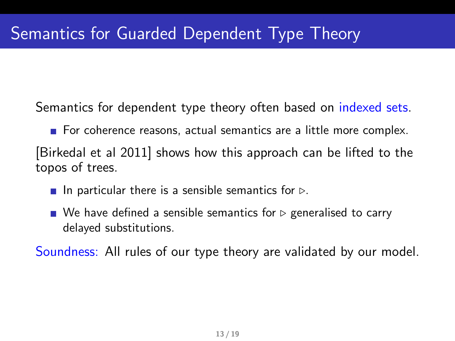Semantics for dependent type theory often based on indexed sets.

For coherence reasons, actual semantics are a little more complex. [Birkedal et al 2011] shows how this approach can be lifted to the topos of trees.

- In particular there is a sensible semantics for  $\triangleright$ .
- $\blacksquare$  We have defined a sensible semantics for  $\triangleright$  generalised to carry delayed substitutions.

Soundness: All rules of our type theory are validated by our model.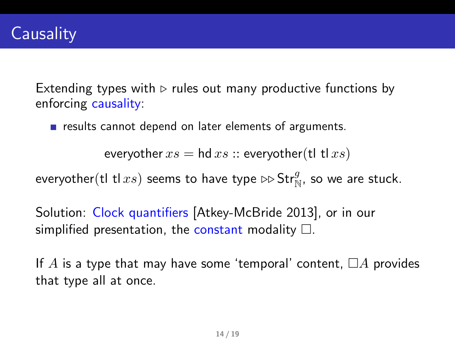Extending types with  $\triangleright$  rules out many productive functions by enforcing causality:

 $\blacksquare$  results cannot depend on later elements of arguments.

everyother  $xs =$  hd  $xs ::$  everyother(tl tl  $xs)$ )

everyother(tl tl $xs$ ) seems to have type  $\triangleright\mathsf{Str}^g_{\mathbb{N}}$ , so we are stuck.

Solution: Clock quantifiers [Atkey-McBride 2013], or in our simplified presentation, the constant modality  $\Box$ .

If A is a type that may have some 'temporal' content,  $\Box A$  provides that type all at once.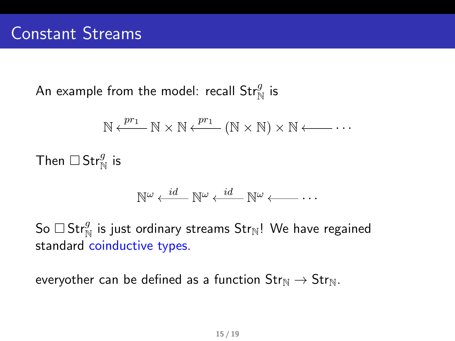An example from the model: recall  $\mathsf{Str}^g_{\mathbb{N}}$  is

$$
\mathbb{N} \xleftarrow{pr_1} \mathbb{N} \times \mathbb{N} \xleftarrow{pr_1} (\mathbb{N} \times \mathbb{N}) \times \mathbb{N} \xleftarrow{\cdot} \cdot \cdot
$$

Then  $\square$  Str $^g_{\mathbb{N}}$  is

$$
\mathbb{N}^{\omega} \xleftarrow{id} \mathbb{N}^{\omega} \xleftarrow{id} \mathbb{N}^{\omega} \xleftarrow{}
$$
 ...

So  $\Box$  Str $^g_{\mathbb{N}}$  is just ordinary streams Str $_{\mathbb{N}}$ ! We have regained standard coinductive types.

everyother can be defined as a function  $Str_{\mathbb{N}} \to Str_{\mathbb{N}}$ .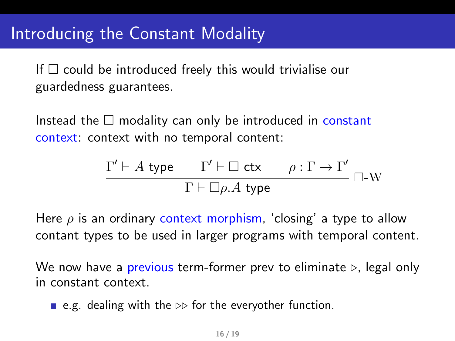## Introducing the Constant Modality

If  $\Box$  could be introduced freely this would trivialise our guardedness guarantees.

Instead the  $\Box$  modality can only be introduced in constant context: context with no temporal content:

$$
\frac{\Gamma' \vdash A \text{ type } \Gamma' \vdash \Box \text{ ctx} \qquad \rho : \Gamma \to \Gamma'}{\Gamma \vdash \Box \rho.A \text{ type}} \Box\text{-W}
$$

Here  $\rho$  is an ordinary context morphism, 'closing' a type to allow contant types to be used in larger programs with temporal content.

We now have a previous term-former prev to eliminate  $\triangleright$ , legal only in constant context.

**e.g.** dealing with the  $\triangleright$  for the everyother function.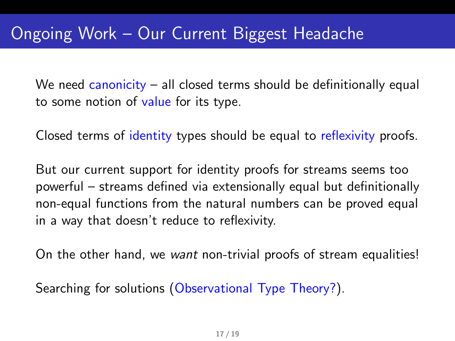We need canonicity – all closed terms should be definitionally equal to some notion of value for its type.

Closed terms of identity types should be equal to reflexivity proofs.

But our current support for identity proofs for streams seems too powerful – streams defined via extensionally equal but definitionally non-equal functions from the natural numbers can be proved equal in a way that doesn't reduce to reflexivity.

On the other hand, we want non-trivial proofs of stream equalities!

Searching for solutions (Observational Type Theory?).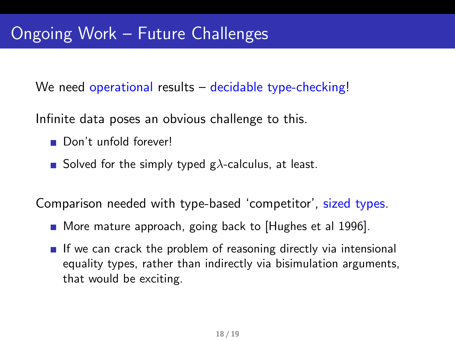We need operational results – decidable type-checking!

Infinite data poses an obvious challenge to this.

- Don't unfold forever!
- Solved for the simply typed  $g\lambda$ -calculus, at least.

Comparison needed with type-based 'competitor', sized types.

- More mature approach, going back to [Hughes et al 1996].
- $\blacksquare$  If we can crack the problem of reasoning directly via intensional equality types, rather than indirectly via bisimulation arguments, that would be exciting.